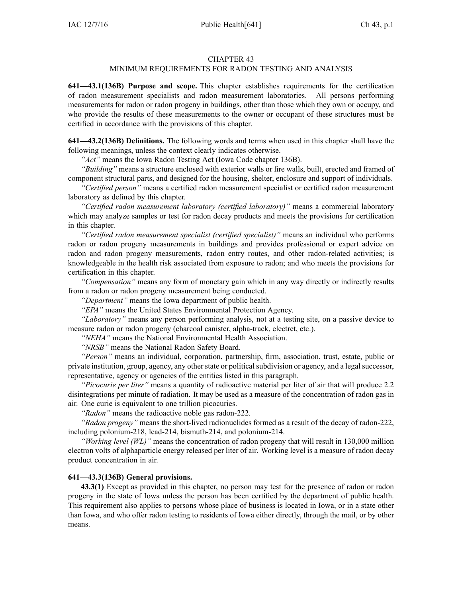#### CHAPTER 43

## MINIMUM REQUIREMENTS FOR RADON TESTING AND ANALYSIS

**641—43.1(136B) Purpose and scope.** This chapter establishes requirements for the certification of radon measurement specialists and radon measurement laboratories. All persons performing measurements for radon or radon progeny in buildings, other than those which they own or occupy, and who provide the results of these measurements to the owner or occupan<sup>t</sup> of these structures must be certified in accordance with the provisions of this chapter.

**641—43.2(136B) Definitions.** The following words and terms when used in this chapter shall have the following meanings, unless the context clearly indicates otherwise.

*"Act"* means the Iowa Radon Testing Act (Iowa Code chapter [136B](https://www.legis.iowa.gov/docs/ico/chapter/136B.pdf)).

*"Building"* means <sup>a</sup> structure enclosed with exterior walls or fire walls, built, erected and framed of componen<sup>t</sup> structural parts, and designed for the housing, shelter, enclosure and suppor<sup>t</sup> of individuals.

*"Certified person"* means <sup>a</sup> certified radon measurement specialist or certified radon measurement laboratory as defined by this chapter.

*"Certified radon measurement laboratory (certified laboratory)"* means <sup>a</sup> commercial laboratory which may analyze samples or test for radon decay products and meets the provisions for certification in this chapter.

*"Certified radon measurement specialist (certified specialist)"* means an individual who performs radon or radon progeny measurements in buildings and provides professional or exper<sup>t</sup> advice on radon and radon progeny measurements, radon entry routes, and other radon-related activities; is knowledgeable in the health risk associated from exposure to radon; and who meets the provisions for certification in this chapter.

*"Compensation"* means any form of monetary gain which in any way directly or indirectly results from <sup>a</sup> radon or radon progeny measurement being conducted.

*"Department"* means the Iowa department of public health.

*"EPA"* means the United States Environmental Protection Agency.

*"Laboratory"* means any person performing analysis, not at <sup>a</sup> testing site, on <sup>a</sup> passive device to measure radon or radon progeny (charcoal canister, alpha-track, electret, etc.).

*"NEHA"* means the National Environmental Health Association.

*"NRSB"* means the National Radon Safety Board.

*"Person"* means an individual, corporation, partnership, firm, association, trust, estate, public or private institution, group, agency, any other state or political subdivision or agency, and a legal successor, representative, agency or agencies of the entities listed in this paragraph.

*"Picocurie per liter"* means <sup>a</sup> quantity of radioactive material per liter of air that will produce 2.2 disintegrations per minute of radiation. It may be used as <sup>a</sup> measure of the concentration of radon gas in air. One curie is equivalent to one trillion picocuries.

*"Radon"* means the radioactive noble gas radon-222.

*"Radon progeny"* means the short-lived radionuclides formed as <sup>a</sup> result of the decay of radon-222, including polonium-218, lead-214, bismuth-214, and polonium-214.

*"Working level (WL)"* means the concentration of radon progeny that will result in 130,000 million electron volts of alphaparticle energy released per liter of air. Working level is <sup>a</sup> measure of radon decay product concentration in air.

#### **641—43.3(136B) General provisions.**

**43.3(1)** Except as provided in this chapter, no person may test for the presence of radon or radon progeny in the state of Iowa unless the person has been certified by the department of public health. This requirement also applies to persons whose place of business is located in Iowa, or in <sup>a</sup> state other than Iowa, and who offer radon testing to residents of Iowa either directly, through the mail, or by other means.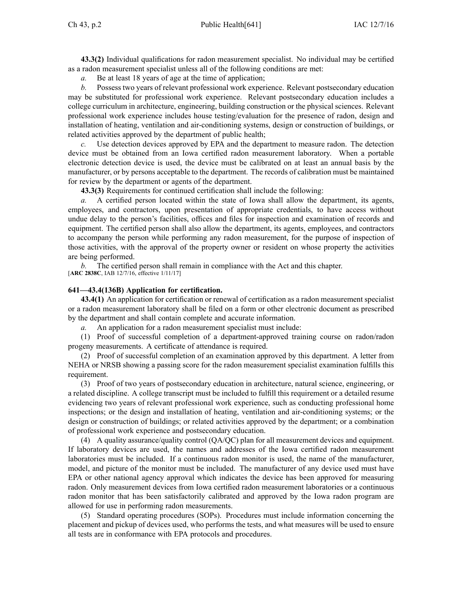**43.3(2)** Individual qualifications for radon measurement specialist. No individual may be certified as <sup>a</sup> radon measurement specialist unless all of the following conditions are met:

*a.* Be at least 18 years of age at the time of application;

*b.* Possess two years of relevant professional work experience. Relevant postsecondary education may be substituted for professional work experience. Relevant postsecondary education includes <sup>a</sup> college curriculum in architecture, engineering, building construction or the physical sciences. Relevant professional work experience includes house testing/evaluation for the presence of radon, design and installation of heating, ventilation and air-conditioning systems, design or construction of buildings, or related activities approved by the department of public health;

*c.* Use detection devices approved by EPA and the department to measure radon. The detection device must be obtained from an Iowa certified radon measurement laboratory. When <sup>a</sup> portable electronic detection device is used, the device must be calibrated on at least an annual basis by the manufacturer, or by persons acceptable to the department. The records of calibration must be maintained for review by the department or agents of the department.

**43.3(3)** Requirements for continued certification shall include the following:

*a.* A certified person located within the state of Iowa shall allow the department, its agents, employees, and contractors, upon presentation of appropriate credentials, to have access without undue delay to the person's facilities, offices and files for inspection and examination of records and equipment. The certified person shall also allow the department, its agents, employees, and contractors to accompany the person while performing any radon measurement, for the purpose of inspection of those activities, with the approval of the property owner or resident on whose property the activities are being performed.

*b.* The certified person shall remain in compliance with the Act and this chapter. [**ARC [2838C](https://www.legis.iowa.gov/docs/aco/arc/2838C.pdf)**, IAB 12/7/16, effective 1/11/17]

### **641—43.4(136B) Application for certification.**

**43.4(1)** An application for certification or renewal of certification as <sup>a</sup> radon measurement specialist or <sup>a</sup> radon measurement laboratory shall be filed on <sup>a</sup> form or other electronic document as prescribed by the department and shall contain complete and accurate information.

*a.* An application for <sup>a</sup> radon measurement specialist must include:

(1) Proof of successful completion of <sup>a</sup> department-approved training course on radon/radon progeny measurements. A certificate of attendance is required.

(2) Proof of successful completion of an examination approved by this department. A letter from NEHA or NRSB showing <sup>a</sup> passing score for the radon measurement specialist examination fulfills this requirement.

(3) Proof of two years of postsecondary education in architecture, natural science, engineering, or <sup>a</sup> related discipline. A college transcript must be included to fulfill this requirement or <sup>a</sup> detailed resume evidencing two years of relevant professional work experience, such as conducting professional home inspections; or the design and installation of heating, ventilation and air-conditioning systems; or the design or construction of buildings; or related activities approved by the department; or <sup>a</sup> combination of professional work experience and postsecondary education.

(4) A quality assurance/quality control (QA/QC) plan for all measurement devices and equipment. If laboratory devices are used, the names and addresses of the Iowa certified radon measurement laboratories must be included. If <sup>a</sup> continuous radon monitor is used, the name of the manufacturer, model, and picture of the monitor must be included. The manufacturer of any device used must have EPA or other national agency approval which indicates the device has been approved for measuring radon. Only measurement devices from Iowa certified radon measurement laboratories or <sup>a</sup> continuous radon monitor that has been satisfactorily calibrated and approved by the Iowa radon program are allowed for use in performing radon measurements.

(5) Standard operating procedures (SOPs). Procedures must include information concerning the placement and pickup of devices used, who performs the tests, and what measures will be used to ensure all tests are in conformance with EPA protocols and procedures.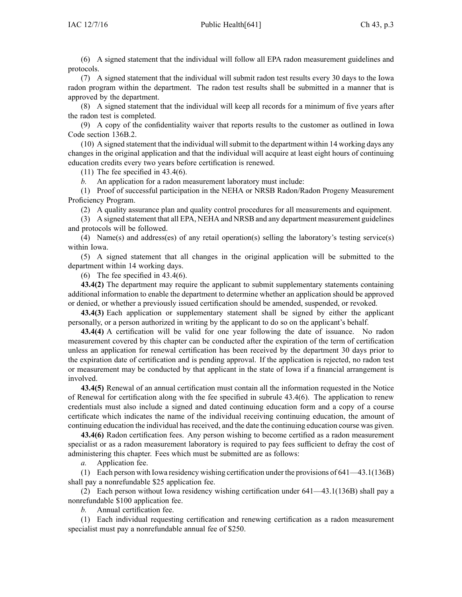(6) A signed statement that the individual will follow all EPA radon measurement guidelines and protocols.

(7) A signed statement that the individual will submit radon test results every 30 days to the Iowa radon program within the department. The radon test results shall be submitted in <sup>a</sup> manner that is approved by the department.

(8) A signed statement that the individual will keep all records for <sup>a</sup> minimum of five years after the radon test is completed.

(9) A copy of the confidentiality waiver that reports results to the customer as outlined in Iowa Code section [136B.2](https://www.legis.iowa.gov/docs/ico/section/136B.2.pdf).

(10) A signed statement that the individual willsubmit to the department within 14 working days any changes in the original application and that the individual will acquire at least eight hours of continuing education credits every two years before certification is renewed.

(11) The fee specified in [43.4\(6\)](https://www.legis.iowa.gov/docs/iac/rule/641.43.4.pdf).

*b.* An application for <sup>a</sup> radon measurement laboratory must include:

(1) Proof of successful participation in the NEHA or NRSB Radon/Radon Progeny Measurement Proficiency Program.

(2) A quality assurance plan and quality control procedures for all measurements and equipment.

(3) A signed statement that all EPA, NEHA and NRSB and any department measurement guidelines and protocols will be followed.

(4) Name(s) and address(es) of any retail operation(s) selling the laboratory's testing service(s) within Iowa.

(5) A signed statement that all changes in the original application will be submitted to the department within 14 working days.

(6) The fee specified in [43.4\(6\)](https://www.legis.iowa.gov/docs/iac/rule/641.43.4.pdf).

**43.4(2)** The department may require the applicant to submit supplementary statements containing additional information to enable the department to determine whether an application should be approved or denied, or whether <sup>a</sup> previously issued certification should be amended, suspended, or revoked.

**43.4(3)** Each application or supplementary statement shall be signed by either the applicant personally, or <sup>a</sup> person authorized in writing by the applicant to do so on the applicant's behalf.

**43.4(4)** A certification will be valid for one year following the date of issuance. No radon measurement covered by this chapter can be conducted after the expiration of the term of certification unless an application for renewal certification has been received by the department 30 days prior to the expiration date of certification and is pending approval. If the application is rejected, no radon test or measurement may be conducted by that applicant in the state of Iowa if <sup>a</sup> financial arrangemen<sup>t</sup> is involved.

**43.4(5)** Renewal of an annual certification must contain all the information requested in the Notice of Renewal for certification along with the fee specified in subrule [43.4\(6\)](https://www.legis.iowa.gov/docs/iac/rule/641.43.4.pdf). The application to renew credentials must also include <sup>a</sup> signed and dated continuing education form and <sup>a</sup> copy of <sup>a</sup> course certificate which indicates the name of the individual receiving continuing education, the amount of continuing education the individual hasreceived, and the date the continuing education course was given.

**43.4(6)** Radon certification fees. Any person wishing to become certified as <sup>a</sup> radon measurement specialist or as <sup>a</sup> radon measurement laboratory is required to pay fees sufficient to defray the cost of administering this chapter. Fees which must be submitted are as follows:

*a.* Application fee.

(1) Each person with Iowa residency wishing certification under the provisions of [641—43.1\(136B\)](https://www.legis.iowa.gov/docs/iac/rule/641.43.1.pdf) shall pay <sup>a</sup> nonrefundable \$25 application fee.

(2) Each person without Iowa residency wishing certification under [641—43.1\(136B\)](https://www.legis.iowa.gov/docs/iac/rule/641.43.1.pdf) shall pay <sup>a</sup> nonrefundable \$100 application fee.

*b.* Annual certification fee.

(1) Each individual requesting certification and renewing certification as <sup>a</sup> radon measurement specialist must pay a nonrefundable annual fee of \$250.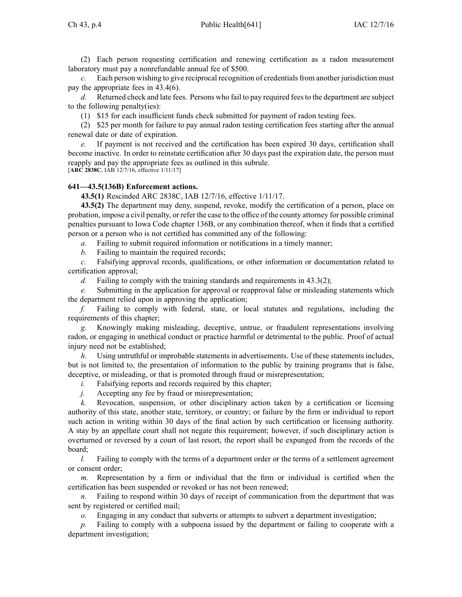(2) Each person requesting certification and renewing certification as <sup>a</sup> radon measurement laboratory must pay <sup>a</sup> nonrefundable annual fee of \$500.

*c.* Each person wishing to give reciprocal recognition of credentials from another jurisdiction must pay the appropriate fees in [43.4\(6\)](https://www.legis.iowa.gov/docs/iac/rule/641.43.4.pdf).

*d.* Returned check and late fees. Persons who fail to pay required feesto the department are subject to the following penalty(ies):

(1) \$15 for each insufficient funds check submitted for paymen<sup>t</sup> of radon testing fees.

(2) \$25 per month for failure to pay annual radon testing certification fees starting after the annual renewal date or date of expiration.

*e.* If paymen<sup>t</sup> is not received and the certification has been expired 30 days, certification shall become inactive. In order to reinstate certification after 30 days pas<sup>t</sup> the expiration date, the person must reapply and pay the appropriate fees as outlined in this subrule. [**ARC [2838C](https://www.legis.iowa.gov/docs/aco/arc/2838C.pdf)**, IAB 12/7/16, effective 1/11/17]

### **641—43.5(136B) Enforcement actions.**

**43.5(1)** Rescinded ARC 2838C, IAB [12/7/16](https://www.legis.iowa.gov/docs/aco/bulletin/12-07-2016.pdf), effective 1/11/17.

**43.5(2)** The department may deny, suspend, revoke, modify the certification of <sup>a</sup> person, place on probation, impose <sup>a</sup> civil penalty, or refer the case to the office of the county attorney for possible criminal penalties pursuan<sup>t</sup> to Iowa Code chapter [136B](https://www.legis.iowa.gov/docs/ico/chapter/136B.pdf), or any combination thereof, when it finds that <sup>a</sup> certified person or <sup>a</sup> person who is not certified has committed any of the following:

*a.* Failing to submit required information or notifications in <sup>a</sup> timely manner;

*b.* Failing to maintain the required records;

*c.* Falsifying approval records, qualifications, or other information or documentation related to certification approval;

*d.* Failing to comply with the training standards and requirements in [43.3\(2\)](https://www.legis.iowa.gov/docs/iac/rule/641.43.3.pdf);

*e.* Submitting in the application for approval or reapproval false or misleading statements which the department relied upon in approving the application;

*f.* Failing to comply with federal, state, or local statutes and regulations, including the requirements of this chapter;

Knowingly making misleading, deceptive, untrue, or fraudulent representations involving radon, or engaging in unethical conduct or practice harmful or detrimental to the public. Proof of actual injury need not be established;

*h.* Using untruthful or improbable statements in advertisements. Use of these statements includes, but is not limited to, the presentation of information to the public by training programs that is false, deceptive, or misleading, or that is promoted through fraud or misrepresentation;

*i.* Falsifying reports and records required by this chapter;

*j.* Accepting any fee by fraud or misrepresentation;

*k.* Revocation, suspension, or other disciplinary action taken by <sup>a</sup> certification or licensing authority of this state, another state, territory, or country; or failure by the firm or individual to repor<sup>t</sup> such action in writing within 30 days of the final action by such certification or licensing authority. A stay by an appellate court shall not negate this requirement; however, if such disciplinary action is overturned or reversed by <sup>a</sup> court of last resort, the repor<sup>t</sup> shall be expunged from the records of the board;

*l.* Failing to comply with the terms of a department order or the terms of a settlement agreement or consent order;

*m.* Representation by <sup>a</sup> firm or individual that the firm or individual is certified when the certification has been suspended or revoked or has not been renewed;

*n.* Failing to respond within 30 days of receipt of communication from the department that was sent by registered or certified mail;

*o.* Engaging in any conduct that subverts or attempts to subvert <sup>a</sup> department investigation;

*p.* Failing to comply with <sup>a</sup> subpoena issued by the department or failing to cooperate with <sup>a</sup> department investigation;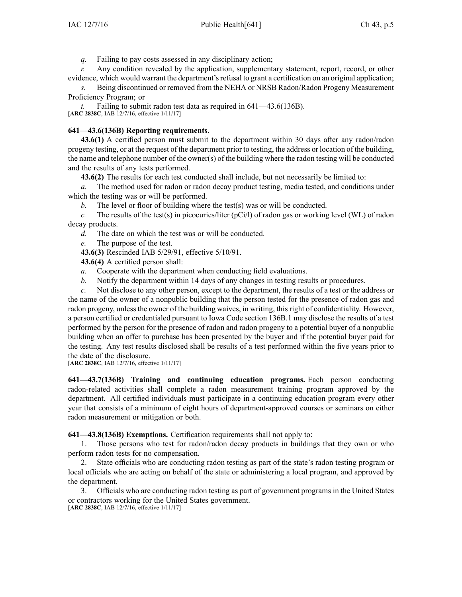*q.* Failing to pay costs assessed in any disciplinary action;

*r.* Any condition revealed by the application, supplementary statement, report, record, or other evidence, which would warrant the department's refusal to grant a certification on an original application;

*s.* Being discontinued or removed from the NEHA or NRSB Radon/Radon Progeny Measurement Proficiency Program; or

*t.* Failing to submit radon test data as required in [641—43.6](https://www.legis.iowa.gov/docs/iac/rule/641.43.6.pdf)(136B). [**ARC [2838C](https://www.legis.iowa.gov/docs/aco/arc/2838C.pdf)**, IAB 12/7/16, effective 1/11/17]

## **641—43.6(136B) Reporting requirements.**

**43.6(1)** A certified person must submit to the department within 30 days after any radon/radon progeny testing, or at the reques<sup>t</sup> of the department prior to testing, the address or location of the building, the name and telephone number of the owner(s) of the building where the radon testing will be conducted and the results of any tests performed.

**43.6(2)** The results for each test conducted shall include, but not necessarily be limited to:

*a.* The method used for radon or radon decay product testing, media tested, and conditions under which the testing was or will be performed.

*b.* The level or floor of building where the test(s) was or will be conducted.

*c.* The results of the test(s) in picocuries/liter (pCi/l) of radon gas or working level (WL) of radon decay products.

*d.* The date on which the test was or will be conducted.

*e.* The purpose of the test.

**43.6(3)** Rescinded IAB [5/29/91](https://www.legis.iowa.gov/docs/aco/bulletin/05-29-1991.pdf), effective 5/10/91.

**43.6(4)** A certified person shall:

- *a.* Cooperate with the department when conducting field evaluations.
- *b.* Notify the department within 14 days of any changes in testing results or procedures.

*c.* Not disclose to any other person, excep<sup>t</sup> to the department, the results of <sup>a</sup> test or the address or the name of the owner of <sup>a</sup> nonpublic building that the person tested for the presence of radon gas and radon progeny, unless the owner of the building waives, in writing, this right of confidentiality. However, <sup>a</sup> person certified or credentialed pursuan<sup>t</sup> to Iowa Code section [136B.1](https://www.legis.iowa.gov/docs/ico/section/136B.1.pdf) may disclose the results of <sup>a</sup> test performed by the person for the presence of radon and radon progeny to <sup>a</sup> potential buyer of <sup>a</sup> nonpublic building when an offer to purchase has been presented by the buyer and if the potential buyer paid for the testing. Any test results disclosed shall be results of <sup>a</sup> test performed within the five years prior to the date of the disclosure.

[**ARC [2838C](https://www.legis.iowa.gov/docs/aco/arc/2838C.pdf)**, IAB 12/7/16, effective 1/11/17]

**641—43.7(136B) Training and continuing education programs.** Each person conducting radon-related activities shall complete <sup>a</sup> radon measurement training program approved by the department. All certified individuals must participate in <sup>a</sup> continuing education program every other year that consists of <sup>a</sup> minimum of eight hours of department-approved courses or seminars on either radon measurement or mitigation or both.

**641—43.8(136B) Exemptions.** Certification requirements shall not apply to:

1. Those persons who test for radon/radon decay products in buildings that they own or who perform radon tests for no compensation.

2. State officials who are conducting radon testing as par<sup>t</sup> of the state's radon testing program or local officials who are acting on behalf of the state or administering <sup>a</sup> local program, and approved by the department.

3. Officials who are conducting radon testing as par<sup>t</sup> of governmen<sup>t</sup> programs in the United States or contractors working for the United States government. [**ARC [2838C](https://www.legis.iowa.gov/docs/aco/arc/2838C.pdf)**, IAB 12/7/16, effective 1/11/17]